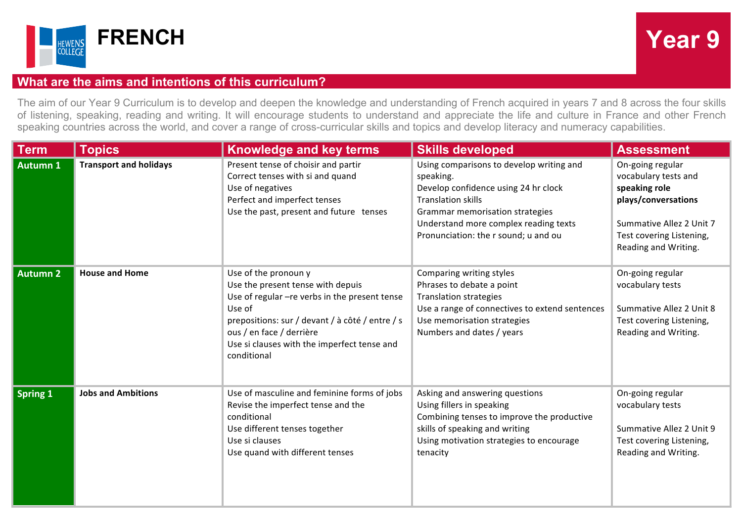



## **What are the aims and intentions of this curriculum?**

The aim of our Year 9 Curriculum is to develop and deepen the knowledge and understanding of French acquired in years 7 and 8 across the four skills of listening, speaking, reading and writing. It will encourage students to understand and appreciate the life and culture in France and other French speaking countries across the world, and cover a range of cross-curricular skills and topics and develop literacy and numeracy capabilities.

| <b>Term</b>     | <b>Topics</b>                 | <b>Knowledge and key terms</b>                                                                                                                                                                                                                                     | <b>Skills developed</b>                                                                                                                                                                                                                        | <b>Assessment</b>                                                                                                                                                |
|-----------------|-------------------------------|--------------------------------------------------------------------------------------------------------------------------------------------------------------------------------------------------------------------------------------------------------------------|------------------------------------------------------------------------------------------------------------------------------------------------------------------------------------------------------------------------------------------------|------------------------------------------------------------------------------------------------------------------------------------------------------------------|
| <b>Autumn 1</b> | <b>Transport and holidays</b> | Present tense of choisir and partir<br>Correct tenses with si and quand<br>Use of negatives<br>Perfect and imperfect tenses<br>Use the past, present and future tenses                                                                                             | Using comparisons to develop writing and<br>speaking.<br>Develop confidence using 24 hr clock<br><b>Translation skills</b><br>Grammar memorisation strategies<br>Understand more complex reading texts<br>Pronunciation: the r sound; u and ou | On-going regular<br>vocabulary tests and<br>speaking role<br>plays/conversations<br>Summative Allez 2 Unit 7<br>Test covering Listening,<br>Reading and Writing. |
| <b>Autumn 2</b> | <b>House and Home</b>         | Use of the pronoun y<br>Use the present tense with depuis<br>Use of regular - re verbs in the present tense<br>Use of<br>prepositions: sur / devant / à côté / entre / s<br>ous / en face / derrière<br>Use si clauses with the imperfect tense and<br>conditional | Comparing writing styles<br>Phrases to debate a point<br><b>Translation strategies</b><br>Use a range of connectives to extend sentences<br>Use memorisation strategies<br>Numbers and dates / years                                           | On-going regular<br>vocabulary tests<br>Summative Allez 2 Unit 8<br>Test covering Listening,<br>Reading and Writing.                                             |
| <b>Spring 1</b> | <b>Jobs and Ambitions</b>     | Use of masculine and feminine forms of jobs<br>Revise the imperfect tense and the<br>conditional<br>Use different tenses together<br>Use si clauses<br>Use quand with different tenses                                                                             | Asking and answering questions<br>Using fillers in speaking<br>Combining tenses to improve the productive<br>skills of speaking and writing<br>Using motivation strategies to encourage<br>tenacity                                            | On-going regular<br>vocabulary tests<br>Summative Allez 2 Unit 9<br>Test covering Listening,<br>Reading and Writing.                                             |